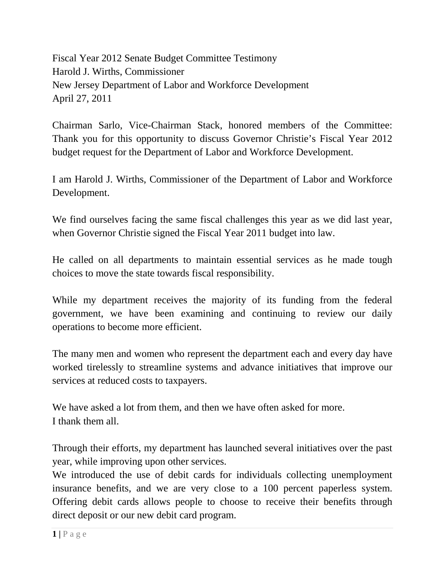Fiscal Year 2012 Senate Budget Committee Testimony Harold J. Wirths, Commissioner New Jersey Department of Labor and Workforce Development April 27, 2011

Chairman Sarlo, Vice-Chairman Stack, honored members of the Committee: Thank you for this opportunity to discuss Governor Christie's Fiscal Year 2012 budget request for the Department of Labor and Workforce Development.

I am Harold J. Wirths, Commissioner of the Department of Labor and Workforce Development.

We find ourselves facing the same fiscal challenges this year as we did last year, when Governor Christie signed the Fiscal Year 2011 budget into law.

He called on all departments to maintain essential services as he made tough choices to move the state towards fiscal responsibility.

While my department receives the majority of its funding from the federal government, we have been examining and continuing to review our daily operations to become more efficient.

The many men and women who represent the department each and every day have worked tirelessly to streamline systems and advance initiatives that improve our services at reduced costs to taxpayers.

We have asked a lot from them, and then we have often asked for more. I thank them all.

Through their efforts, my department has launched several initiatives over the past year, while improving upon other services.

We introduced the use of debit cards for individuals collecting unemployment insurance benefits, and we are very close to a 100 percent paperless system. Offering debit cards allows people to choose to receive their benefits through direct deposit or our new debit card program.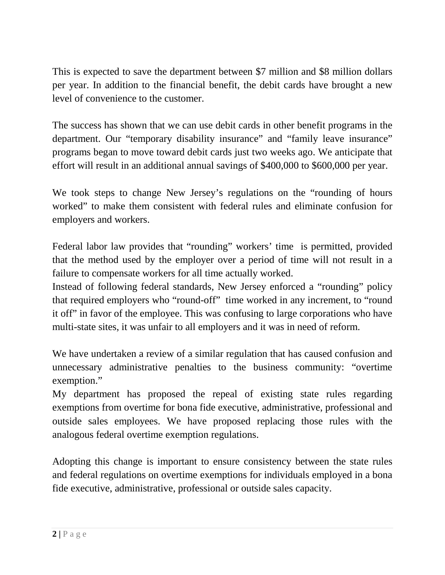This is expected to save the department between \$7 million and \$8 million dollars per year. In addition to the financial benefit, the debit cards have brought a new level of convenience to the customer.

The success has shown that we can use debit cards in other benefit programs in the department. Our "temporary disability insurance" and "family leave insurance" programs began to move toward debit cards just two weeks ago. We anticipate that effort will result in an additional annual savings of \$400,000 to \$600,000 per year.

We took steps to change New Jersey's regulations on the "rounding of hours worked" to make them consistent with federal rules and eliminate confusion for employers and workers.

Federal labor law provides that "rounding" workers' time is permitted, provided that the method used by the employer over a period of time will not result in a failure to compensate workers for all time actually worked.

Instead of following federal standards, New Jersey enforced a "rounding" policy that required employers who "round-off" time worked in any increment, to "round it off" in favor of the employee. This was confusing to large corporations who have multi-state sites, it was unfair to all employers and it was in need of reform.

We have undertaken a review of a similar regulation that has caused confusion and unnecessary administrative penalties to the business community: "overtime exemption."

My department has proposed the repeal of existing state rules regarding exemptions from overtime for bona fide executive, administrative, professional and outside sales employees. We have proposed replacing those rules with the analogous federal overtime exemption regulations.

Adopting this change is important to ensure consistency between the state rules and federal regulations on overtime exemptions for individuals employed in a bona fide executive, administrative, professional or outside sales capacity.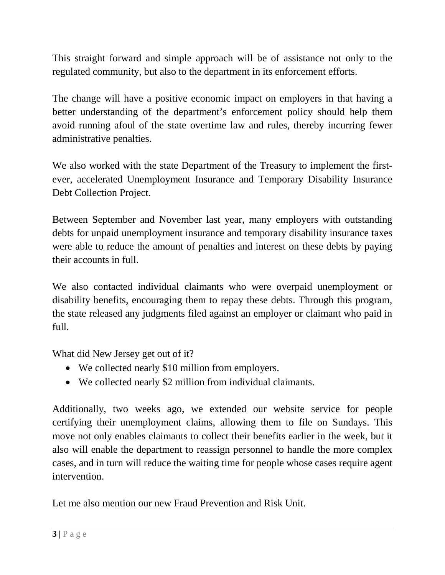This straight forward and simple approach will be of assistance not only to the regulated community, but also to the department in its enforcement efforts.

The change will have a positive economic impact on employers in that having a better understanding of the department's enforcement policy should help them avoid running afoul of the state overtime law and rules, thereby incurring fewer administrative penalties.

We also worked with the state Department of the Treasury to implement the firstever, accelerated Unemployment Insurance and Temporary Disability Insurance Debt Collection Project.

Between September and November last year, many employers with outstanding debts for unpaid unemployment insurance and temporary disability insurance taxes were able to reduce the amount of penalties and interest on these debts by paying their accounts in full.

We also contacted individual claimants who were overpaid unemployment or disability benefits, encouraging them to repay these debts. Through this program, the state released any judgments filed against an employer or claimant who paid in full.

What did New Jersey get out of it?

- We collected nearly \$10 million from employers.
- We collected nearly \$2 million from individual claimants.

Additionally, two weeks ago, we extended our website service for people certifying their unemployment claims, allowing them to file on Sundays. This move not only enables claimants to collect their benefits earlier in the week, but it also will enable the department to reassign personnel to handle the more complex cases, and in turn will reduce the waiting time for people whose cases require agent intervention.

Let me also mention our new Fraud Prevention and Risk Unit.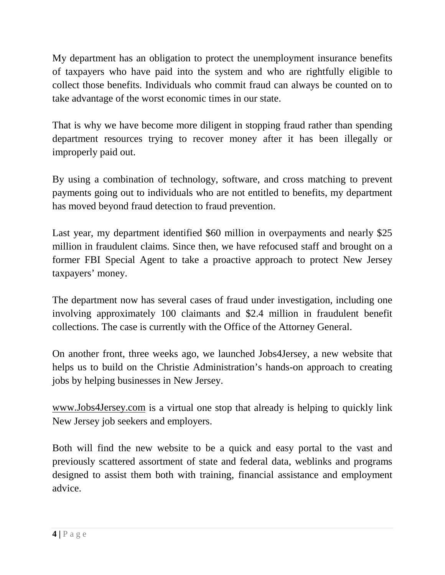My department has an obligation to protect the unemployment insurance benefits of taxpayers who have paid into the system and who are rightfully eligible to collect those benefits. Individuals who commit fraud can always be counted on to take advantage of the worst economic times in our state.

That is why we have become more diligent in stopping fraud rather than spending department resources trying to recover money after it has been illegally or improperly paid out.

By using a combination of technology, software, and cross matching to prevent payments going out to individuals who are not entitled to benefits, my department has moved beyond fraud detection to fraud prevention.

Last year, my department identified \$60 million in overpayments and nearly \$25 million in fraudulent claims. Since then, we have refocused staff and brought on a former FBI Special Agent to take a proactive approach to protect New Jersey taxpayers' money.

The department now has several cases of fraud under investigation, including one involving approximately 100 claimants and \$2.4 million in fraudulent benefit collections. The case is currently with the Office of the Attorney General.

On another front, three weeks ago, we launched Jobs4Jersey, a new website that helps us to build on the Christie Administration's hands-on approach to creating jobs by helping businesses in New Jersey.

[www.Jobs4Jersey.com](http://www.jobs4jersey.com/) is a virtual one stop that already is helping to quickly link New Jersey job seekers and employers.

Both will find the new website to be a quick and easy portal to the vast and previously scattered assortment of state and federal data, weblinks and programs designed to assist them both with training, financial assistance and employment advice.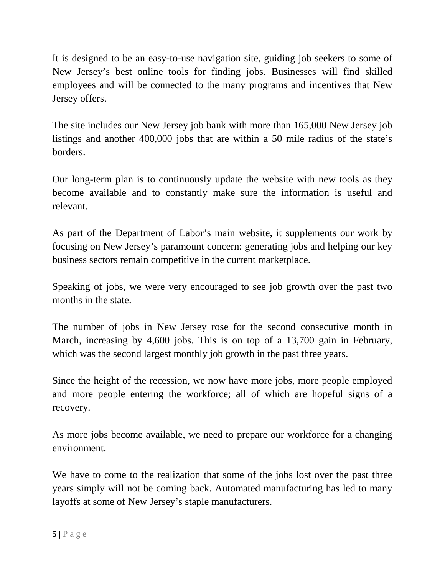It is designed to be an easy-to-use navigation site, guiding job seekers to some of New Jersey's best online tools for finding jobs. Businesses will find skilled employees and will be connected to the many programs and incentives that New Jersey offers.

The site includes our New Jersey job bank with more than 165,000 New Jersey job listings and another 400,000 jobs that are within a 50 mile radius of the state's borders.

Our long-term plan is to continuously update the website with new tools as they become available and to constantly make sure the information is useful and relevant.

As part of the Department of Labor's main website, it supplements our work by focusing on New Jersey's paramount concern: generating jobs and helping our key business sectors remain competitive in the current marketplace.

Speaking of jobs, we were very encouraged to see job growth over the past two months in the state.

The number of jobs in New Jersey rose for the second consecutive month in March, increasing by 4,600 jobs. This is on top of a 13,700 gain in February, which was the second largest monthly job growth in the past three years.

Since the height of the recession, we now have more jobs, more people employed and more people entering the workforce; all of which are hopeful signs of a recovery.

As more jobs become available, we need to prepare our workforce for a changing environment.

We have to come to the realization that some of the jobs lost over the past three years simply will not be coming back. Automated manufacturing has led to many layoffs at some of New Jersey's staple manufacturers.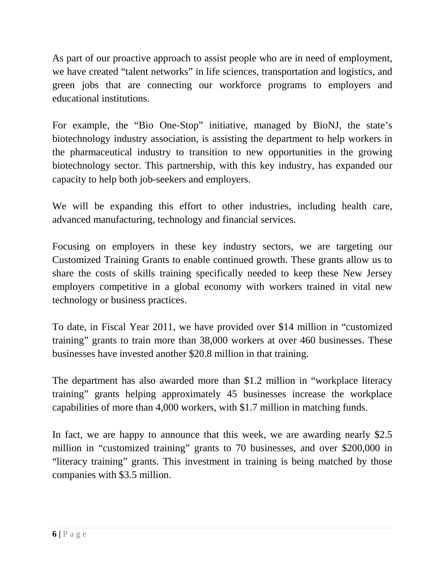As part of our proactive approach to assist people who are in need of employment, we have created "talent networks" in life sciences, transportation and logistics, and green jobs that are connecting our workforce programs to employers and educational institutions.

For example, the "Bio One-Stop" initiative, managed by BioNJ, the state's biotechnology industry association, is assisting the department to help workers in the pharmaceutical industry to transition to new opportunities in the growing biotechnology sector. This partnership, with this key industry, has expanded our capacity to help both job-seekers and employers.

We will be expanding this effort to other industries, including health care, advanced manufacturing, technology and financial services.

Focusing on employers in these key industry sectors, we are targeting our Customized Training Grants to enable continued growth. These grants allow us to share the costs of skills training specifically needed to keep these New Jersey employers competitive in a global economy with workers trained in vital new technology or business practices.

To date, in Fiscal Year 2011, we have provided over \$14 million in "customized training" grants to train more than 38,000 workers at over 460 businesses. These businesses have invested another \$20.8 million in that training.

The department has also awarded more than \$1.2 million in "workplace literacy training" grants helping approximately 45 businesses increase the workplace capabilities of more than 4,000 workers, with \$1.7 million in matching funds.

In fact, we are happy to announce that this week, we are awarding nearly \$2.5 million in "customized training" grants to 70 businesses, and over \$200,000 in "literacy training" grants. This investment in training is being matched by those companies with \$3.5 million.